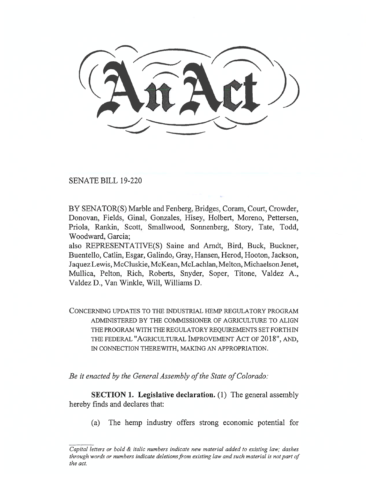SENATE BILL 19-220

BY SENATOR(S) Marble and Fenberg, Bridges, Coram, Court, Crowder, Donovan, Fields, Ginal, Gonzales, Hisey, Holbert, Moreno, Pettersen, Priola, Rankin, Scott, Smallwood, Sonnenberg, Story, Tate, Todd, Woodward, Garcia;

also REPRESENTATIVE(S) Saine and Arndt, Bird, Buck, Buckner, Buentello, Catlin, Esgar, Galindo, Gray, Hansen, Herod, Hooton, Jackson, Jaquez Lewis, McCluskie, McKean, McLachlan, Melton, Michaelson Jenet, Mullica, Pelton, Rich, Roberts, Snyder, Soper, Titone, Valdez A., Valdez D., Van Winkle, Will, Williams D.

CONCERNING UPDATES TO THE INDUSTRIAL HEMP REGULATORY PROGRAM ADMINISTERED BY THE COMMISSIONER OF AGRICULTURE TO ALIGN THE PROGRAM WITH THE REGULATORY REQUIREMENTS SET FORTH IN THE FEDERAL "AGRICULTURAL IMPROVEMENT ACT OF 2018", AND, IN CONNECTION THEREWITH, MAKING AN APPROPRIATION.

*Be it enacted by the General Assembly of the State of Colorado:* 

**SECTION 1. Legislative declaration.** (1) The general assembly hereby finds and declares that:

(a) The hemp industry offers strong economic potential for

*Capital letters or bold & italic numbers indicate new material added to existing law; dashes through words or numbers indicate deletions from existing law and such material is not part of the act.*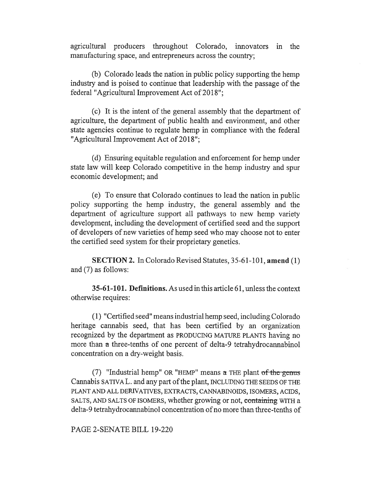agricultural producers throughout Colorado, innovators in the manufacturing space, and entrepreneurs across the country;

(b) Colorado leads the nation in public policy supporting the hemp industry and is poised to continue that leadership with the passage of the federal "Agricultural Improvement Act of 2018";

(c) It is the intent of the general assembly that the department of agriculture, the department of public health and environment, and other state agencies continue to regulate hemp in compliance with the federal "Agricultural Improvement Act of 2018";

(d) Ensuring equitable regulation and enforcement for hemp under state law will keep Colorado competitive in the hemp industry and spur economic development; and

(e) To ensure that Colorado continues to lead the nation in public policy supporting the hemp industry, the general assembly and the department of agriculture support all pathways to new hemp variety development, including the development of certified seed and the support of developers of new varieties of hemp seed who may choose not to enter the certified seed system for their proprietary genetics.

**SECTION 2.** In Colorado Revised Statutes, 35-61-101, **amend** (1) and (7) as follows:

**35-61-101. Definitions.** As used in this article 61, unless the context otherwise requires:

(1) "Certified seed" means industrial hemp seed, including Colorado heritage cannabis seed, that has been certified by an organization recognized by the department as PRODUCING MATURE PLANTS having no more than a three-tenths of one percent of delta-9 tetrahydrocannabinol concentration on a dry-weight basis.

(7) "Industrial hemp" OR "HEMP" means  $\alpha$  THE plant of the genus Cannabis SATIVA L. and any part of the plant, INCLUDING THE SEEDS OF THE PLANT AND ALL DERIVATIVES, EXTRACTS, CANNABINOIDS, ISOMERS, ACIDS, SALTS, AND SALTS OF ISOMERS, whether growing or not, containing WITH a delta-9 tetrahydrocannabinol concentration of no more than three-tenths of

PAGE 2-SENATE BILL 19-220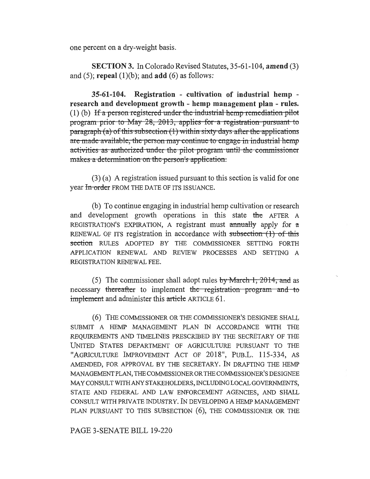one percent on a dry-weight basis.

**SECTION 3.** In Colorado Revised Statutes, 35-61-104, **amend** (3) and (5); **repeal** (1)(b); and **add** (6) as follows:

**35-61-104. Registration - cultivation of industrial hemp research and development growth - hemp management plan - rules.**  (1) (b) If a person registered under the industrial hemp remediation pilot program prior to May 28, 2013, applies for a registration pursuant to paragraph (a) of this subsection  $(1)$  within sixty days after the applications activities as authorized under the pilot program until the commissioner are made-available, the-person-may continue to engage-in-industrial-hemp makes a determination on the person's application.

(3) (a) A registration issued pursuant to this section is valid for one year In order FROM THE DATE OF ITS ISSUANCE.

(b) To continue engaging in industrial hemp cultivation or research and development growth operations in this state the AFTER A REGISTRATION'S EXPIRATION, A registrant must annually apply for a RENEWAL OF ITS registration in accordance with subsection  $(1)$  of this section RULES ADOPTED BY THE COMMISSIONER SETTING FORTH APPLICATION RENEWAL AND REVIEW PROCESSES AND SETTING A REGISTRATION RENEWAL FEE.

(5) The commissioner shall adopt rules by March 1, 2014, and as necessary thereafter to implement the registration program and to implement and administer this article ARTICLE **61.** 

(6) THE COMMISSIONER OR THE COMMISSIONER'S DESIGNEE SHALL SUBMIT A HEMP MANAGEMENT PLAN IN ACCORDANCE WITH THE REQUIREMENTS AND TIMELINES PRESCRIBED BY THE SECRETARY OF THE UNITED STATES DEPARTMENT OF AGRICULTURE PURSUANT TO THE "AGRICULTURE IMPROVEMENT ACT OF 2018", PuB.L. 115-334, AS AMENDED, FOR APPROVAL BY THE SECRETARY. IN DRAFTING THE HEMP MANAGEMENT PLAN, THE COMMISSIONER OR THE COMMISSIONER'S DESIGNEE MAY CONSULT WITH ANY STAKEHOLDERS, INCLUDING LOCAL GOVERNMENTS, STATE AND FEDERAL AND LAW ENFORCEMENT AGENCIES, AND SHALL CONSULT WITH PRIVATE INDUSTRY. IN DEVELOPING A HEMP MANAGEMENT PLAN PURSUANT TO THIS SUBSECTION (6), THE COMMISSIONER OR THE

## PAGE 3-SENATE BILL 19-220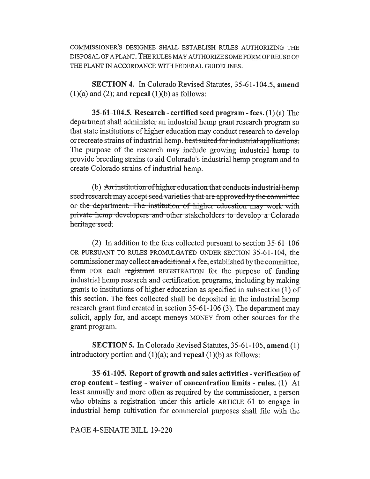COMMISSIONER'S DESIGNEE SHALL ESTABLISH RULES AUTHORIZING THE DISPOSAL OF A PLANT. THE RULES MAY AUTHORIZE SOME FORM OF REUSE OF THE PLANT IN ACCORDANCE WITH FEDERAL GUIDELINES.

**SECTION 4.** In Colorado Revised Statutes, 35-61-104.5, **amend**   $(1)(a)$  and  $(2)$ ; and **repeal**  $(1)(b)$  as follows:

**35-61-104.5. Research - certified seed program - fees.** (1) (a) The department shall administer an industrial hemp grant research program so that state institutions of higher education may conduct research to develop or recreate strains of industrial hemp. best suited for industrial applications. The purpose of the research may include growing industrial hemp to provide breeding strains to aid Colorado's industrial hemp program and to create Colorado strains of industrial hemp.

(b) An institution of higher education that conducts industrial hemp seed research may accept seed varieties that are approved by the committee or the department. The institution of higher education may work with private-hemp-developers-and-other stakeholders to develop a Colorado heritage seed.

(2) In addition to the fees collected pursuant to section 35-61-106 OR PURSUANT TO RULES PROMULGATED UNDER SECTION 35-61-104, the commissioner may collect an additional A fee, established by the committee, from FOR each registrant REGISTRATION for the purpose of funding industrial hemp research and certification programs, including by making grants to institutions of higher education as specified in subsection (1) of this section. The fees collected shall be deposited in the industrial hemp research grant fund created in section 35-61-106 (3). The department may solicit, apply for, and accept moneys MONEY from other sources for the grant program.

**SECTION 5.** In Colorado Revised Statutes, 35-61-105, **amend** (1) introductory portion and (1)(a); and **repeal** (1)(b) as follows:

**35-61-105. Report of growth and sales activities - verification of crop content - testing - waiver of concentration limits - rules.** (1) At least annually and more often as required by the commissioner, a person who obtains a registration under this article ARTICLE 61 to engage in industrial hemp cultivation for commercial purposes shall file with the

PAGE 4-SENATE BILL 19-220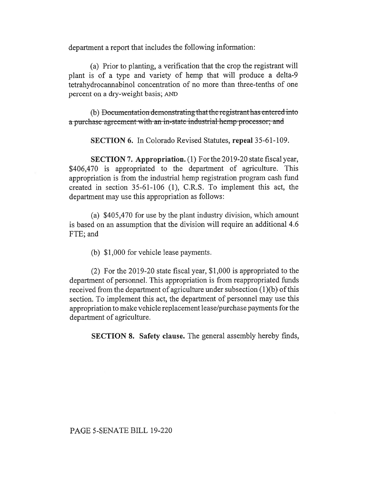department a report that includes the following information:

(a) Prior to planting, a verification that the crop the registrant will plant is of a type and variety of hemp that will produce a delta-9 tetrahydrocannabinol concentration of no more than three-tenths of one percent on a dry-weight basis; AND

(b) Documentation dcmonstratmg that the rcgistrant has **cntercd into a** purchase agreement with an in-state industrial hemp processor; and

**SECTION 6.** In Colorado Revised Statutes, **repeal 35-61-109.** 

**SECTION 7. Appropriation.** (1) For the 2019-20 state fiscal year, \$406,470 is appropriated to the department of agriculture. This appropriation is from the industrial hemp registration program cash fund created in section 35-61-106 (1), C.R.S. To implement this act, the department may use this appropriation as follows:

(a) \$405,470 for use by the plant industry division, which amount is based on an assumption that the division will require an additional 4.6 FTE; and

(b) \$1,000 for vehicle lease payments.

(2) For the 2019-20 state fiscal year, \$1,000 is appropriated to the department of personnel. This appropriation is from reappropriated funds received from the department of agriculture under subsection (1)(b) of this section. To implement this act, the department of personnel may use this appropriation to make vehicle replacement lease/purchase payments for the department of agriculture.

**SECTION 8. Safety clause.** The general assembly hereby finds,